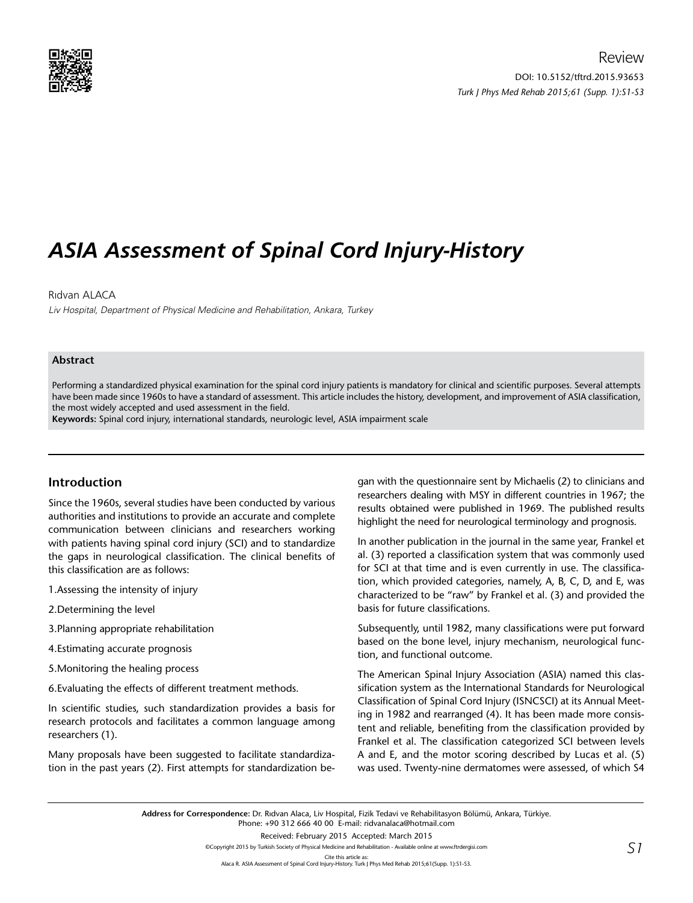

# *ASIA Assessment of Spinal Cord Injury-History*

## Rıdvan ALACA

Liv Hospital, Department of Physical Medicine and Rehabilitation, Ankara, Turkey

#### **Abstract**

Performing a standardized physical examination for the spinal cord injury patients is mandatory for clinical and scientific purposes. Several attempts have been made since 1960s to have a standard of assessment. This article includes the history, development, and improvement of ASIA classification, the most widely accepted and used assessment in the field.

**Keywords:** Spinal cord injury, international standards, neurologic level, ASIA impairment scale

# **Introduction**

Since the 1960s, several studies have been conducted by various authorities and institutions to provide an accurate and complete communication between clinicians and researchers working with patients having spinal cord injury (SCI) and to standardize the gaps in neurological classification. The clinical benefits of this classification are as follows:

- 1.Assessing the intensity of injury
- 2.Determining the level
- 3.Planning appropriate rehabilitation
- 4.Estimating accurate prognosis
- 5.Monitoring the healing process
- 6.Evaluating the effects of different treatment methods.

In scientific studies, such standardization provides a basis for research protocols and facilitates a common language among researchers (1).

Many proposals have been suggested to facilitate standardization in the past years (2). First attempts for standardization be-

gan with the questionnaire sent by Michaelis (2) to clinicians and researchers dealing with MSY in different countries in 1967; the results obtained were published in 1969. The published results highlight the need for neurological terminology and prognosis.

In another publication in the journal in the same year, Frankel et al. (3) reported a classification system that was commonly used for SCI at that time and is even currently in use. The classification, which provided categories, namely, A, B, C, D, and E, was characterized to be "raw" by Frankel et al. (3) and provided the basis for future classifications.

Subsequently, until 1982, many classifications were put forward based on the bone level, injury mechanism, neurological function, and functional outcome.

The American Spinal Injury Association (ASIA) named this classification system as the International Standards for Neurological Classification of Spinal Cord Injury (ISNCSCI) at its Annual Meeting in 1982 and rearranged (4). It has been made more consistent and reliable, benefiting from the classification provided by Frankel et al. The classification categorized SCI between levels A and E, and the motor scoring described by Lucas et al. (5) was used. Twenty-nine dermatomes were assessed, of which S4

**Address for Correspondence:** Dr. Rıdvan Alaca, Liv Hospital, Fizik Tedavi ve Rehabilitasyon Bölümü, Ankara, Türkiye. Phone: +90 312 666 40 00 E-mail: ridvanalaca@hotmail.com Received: February 2015 Accepted: March 2015

©Copyright 2015 by Turkish Society of Physical Medicine and Rehabilitation - Available online at www.ftrdergisi.com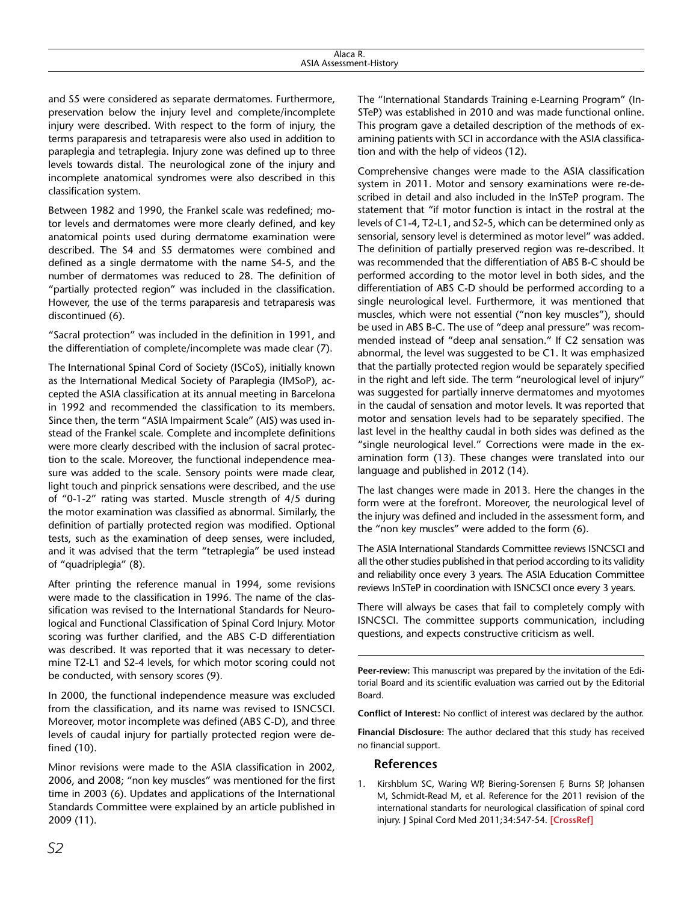and S5 were considered as separate dermatomes. Furthermore, preservation below the injury level and complete/incomplete injury were described. With respect to the form of injury, the terms paraparesis and tetraparesis were also used in addition to paraplegia and tetraplegia. Injury zone was defined up to three levels towards distal. The neurological zone of the injury and incomplete anatomical syndromes were also described in this classification system.

Between 1982 and 1990, the Frankel scale was redefined; motor levels and dermatomes were more clearly defined, and key anatomical points used during dermatome examination were described. The S4 and S5 dermatomes were combined and defined as a single dermatome with the name S4-5, and the number of dermatomes was reduced to 28. The definition of "partially protected region" was included in the classification. However, the use of the terms paraparesis and tetraparesis was discontinued (6).

"Sacral protection" was included in the definition in 1991, and the differentiation of complete/incomplete was made clear (7).

The International Spinal Cord of Society (ISCoS), initially known as the International Medical Society of Paraplegia (IMSoP), accepted the ASIA classification at its annual meeting in Barcelona in 1992 and recommended the classification to its members. Since then, the term "ASIA Impairment Scale" (AIS) was used instead of the Frankel scale. Complete and incomplete definitions were more clearly described with the inclusion of sacral protection to the scale. Moreover, the functional independence measure was added to the scale. Sensory points were made clear, light touch and pinprick sensations were described, and the use of "0-1-2" rating was started. Muscle strength of 4/5 during the motor examination was classified as abnormal. Similarly, the definition of partially protected region was modified. Optional tests, such as the examination of deep senses, were included, and it was advised that the term "tetraplegia" be used instead of "quadriplegia" (8).

After printing the reference manual in 1994, some revisions were made to the classification in 1996. The name of the classification was revised to the International Standards for Neurological and Functional Classification of Spinal Cord Injury. Motor scoring was further clarified, and the ABS C-D differentiation was described. It was reported that it was necessary to determine T2-L1 and S2-4 levels, for which motor scoring could not be conducted, with sensory scores (9).

In 2000, the functional independence measure was excluded from the classification, and its name was revised to ISNCSCI. Moreover, motor incomplete was defined (ABS C-D), and three levels of caudal injury for partially protected region were defined (10).

Minor revisions were made to the ASIA classification in 2002, 2006, and 2008; "non key muscles" was mentioned for the first time in 2003 (6). Updates and applications of the International Standards Committee were explained by an article published in 2009 (11).

The "International Standards Training e-Learning Program" (In-STeP) was established in 2010 and was made functional online. This program gave a detailed description of the methods of examining patients with SCI in accordance with the ASIA classification and with the help of videos (12).

Comprehensive changes were made to the ASIA classification system in 2011. Motor and sensory examinations were re-described in detail and also included in the InSTeP program. The statement that "if motor function is intact in the rostral at the levels of C1-4, T2-L1, and S2-5, which can be determined only as sensorial, sensory level is determined as motor level" was added. The definition of partially preserved region was re-described. It was recommended that the differentiation of ABS B-C should be performed according to the motor level in both sides, and the differentiation of ABS C-D should be performed according to a single neurological level. Furthermore, it was mentioned that muscles, which were not essential ("non key muscles"), should be used in ABS B-C. The use of "deep anal pressure" was recommended instead of "deep anal sensation." If C2 sensation was abnormal, the level was suggested to be C1. It was emphasized that the partially protected region would be separately specified in the right and left side. The term "neurological level of injury" was suggested for partially innerve dermatomes and myotomes in the caudal of sensation and motor levels. It was reported that motor and sensation levels had to be separately specified. The last level in the healthy caudal in both sides was defined as the "single neurological level." Corrections were made in the examination form (13). These changes were translated into our language and published in 2012 (14).

The last changes were made in 2013. Here the changes in the form were at the forefront. Moreover, the neurological level of the injury was defined and included in the assessment form, and the "non key muscles" were added to the form (6).

The ASIA International Standards Committee reviews ISNCSCI and all the other studies published in that period according to its validity and reliability once every 3 years. The ASIA Education Committee reviews InSTeP in coordination with ISNCSCI once every 3 years.

There will always be cases that fail to completely comply with ISNCSCI. The committee supports communication, including questions, and expects constructive criticism as well.

**Peer-review:** This manuscript was prepared by the invitation of the Editorial Board and its scientific evaluation was carried out by the Editorial Board.

**Conflict of Interest:** No conflict of interest was declared by the author.

**Financial Disclosure:** The author declared that this study has received no financial support.

### **References**

1. Kirshblum SC, Waring WP, Biering-Sorensen F, Burns SP, Johansen M, Schmidt-Read M, et al. Reference for the 2011 revision of the international standarts for neurological classification of spinal cord injury. J Spinal Cord Med 2011;34:547-54. **[[CrossRef](http://dx.doi.org/10.1179/107902611X13186000420242)]**